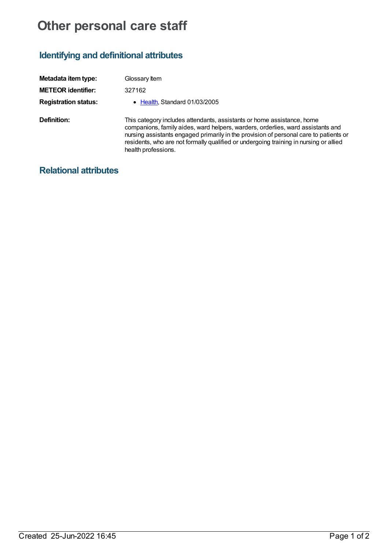## **Other personal care staff**

## **Identifying and definitional attributes**

| Metadata item type:         | Glossary Item                                                                                                                                                                                                                                                                                                                                                      |
|-----------------------------|--------------------------------------------------------------------------------------------------------------------------------------------------------------------------------------------------------------------------------------------------------------------------------------------------------------------------------------------------------------------|
| <b>METEOR identifier:</b>   | 327162                                                                                                                                                                                                                                                                                                                                                             |
| <b>Registration status:</b> | • Health, Standard 01/03/2005                                                                                                                                                                                                                                                                                                                                      |
| Definition:                 | This category includes attendants, assistants or home assistance, home<br>companions, family aides, ward helpers, warders, orderlies, ward assistants and<br>nursing assistants engaged primarily in the provision of personal care to patients or<br>residents, who are not formally qualified or undergoing training in nursing or allied<br>health professions. |

## **Relational attributes**